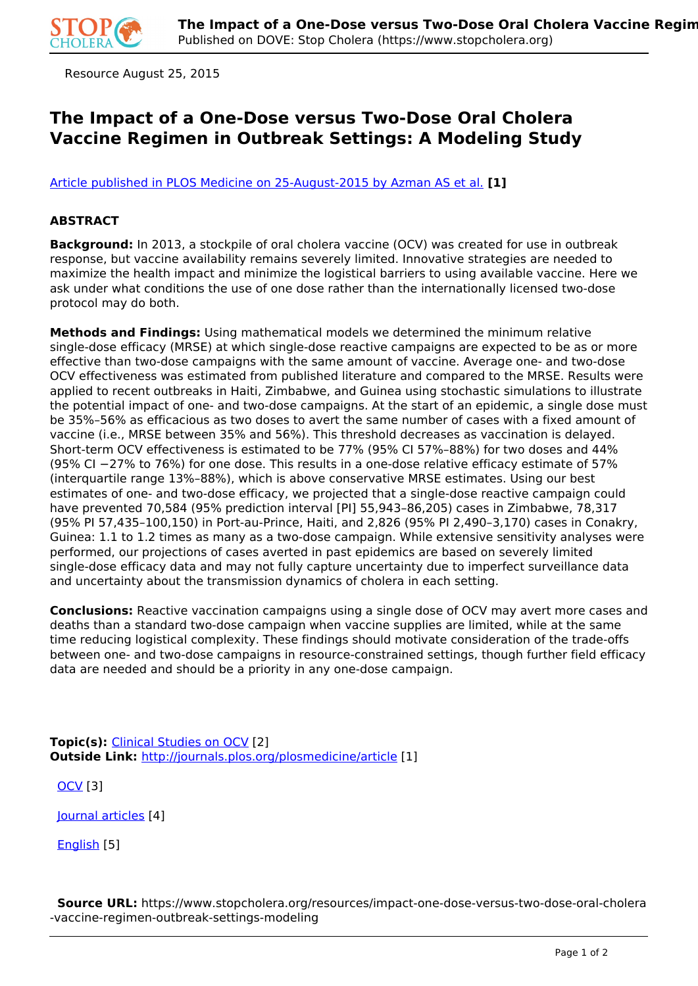

Resource August 25, 2015

## **The Impact of a One-Dose versus Two-Dose Oral Cholera Vaccine Regimen in Outbreak Settings: A Modeling Study**

[Article published in PLOS Medicine on 25-August-2015 by Azman AS et al.](http://journals.plos.org/plosmedicine/article?id=10.1371/journal.pmed.1001867) **[1]**

## **ABSTRACT**

**Background:** In 2013, a stockpile of oral cholera vaccine (OCV) was created for use in outbreak response, but vaccine availability remains severely limited. Innovative strategies are needed to maximize the health impact and minimize the logistical barriers to using available vaccine. Here we ask under what conditions the use of one dose rather than the internationally licensed two-dose protocol may do both.

**Methods and Findings:** Using mathematical models we determined the minimum relative single-dose efficacy (MRSE) at which single-dose reactive campaigns are expected to be as or more effective than two-dose campaigns with the same amount of vaccine. Average one- and two-dose OCV effectiveness was estimated from published literature and compared to the MRSE. Results were applied to recent outbreaks in Haiti, Zimbabwe, and Guinea using stochastic simulations to illustrate the potential impact of one- and two-dose campaigns. At the start of an epidemic, a single dose must be 35%–56% as efficacious as two doses to avert the same number of cases with a fixed amount of vaccine (i.e., MRSE between 35% and 56%). This threshold decreases as vaccination is delayed. Short-term OCV effectiveness is estimated to be 77% (95% CI 57%–88%) for two doses and 44% (95% CI −27% to 76%) for one dose. This results in a one-dose relative efficacy estimate of 57% (interquartile range 13%–88%), which is above conservative MRSE estimates. Using our best estimates of one- and two-dose efficacy, we projected that a single-dose reactive campaign could have prevented 70,584 (95% prediction interval [PI] 55,943–86,205) cases in Zimbabwe, 78,317 (95% PI 57,435–100,150) in Port-au-Prince, Haiti, and 2,826 (95% PI 2,490–3,170) cases in Conakry, Guinea: 1.1 to 1.2 times as many as a two-dose campaign. While extensive sensitivity analyses were performed, our projections of cases averted in past epidemics are based on severely limited single-dose efficacy data and may not fully capture uncertainty due to imperfect surveillance data and uncertainty about the transmission dynamics of cholera in each setting.

**Conclusions:** Reactive vaccination campaigns using a single dose of OCV may avert more cases and deaths than a standard two-dose campaign when vaccine supplies are limited, while at the same time reducing logistical complexity. These findings should motivate consideration of the trade-offs between one- and two-dose campaigns in resource-constrained settings, though further field efficacy data are needed and should be a priority in any one-dose campaign.

**Topic(s):** Clinical Studies on OCV [2] **Outside Link:** http://journals.plos.org/plosmedicine/article [1]

OCV [3]

Journal articles [4]

English [5]

 **Source URL:** https://www.stopcholera.org/resources/impact-one-dose-versus-two-dose-oral-cholera -vaccine-regimen-outbreak-settings-modeling